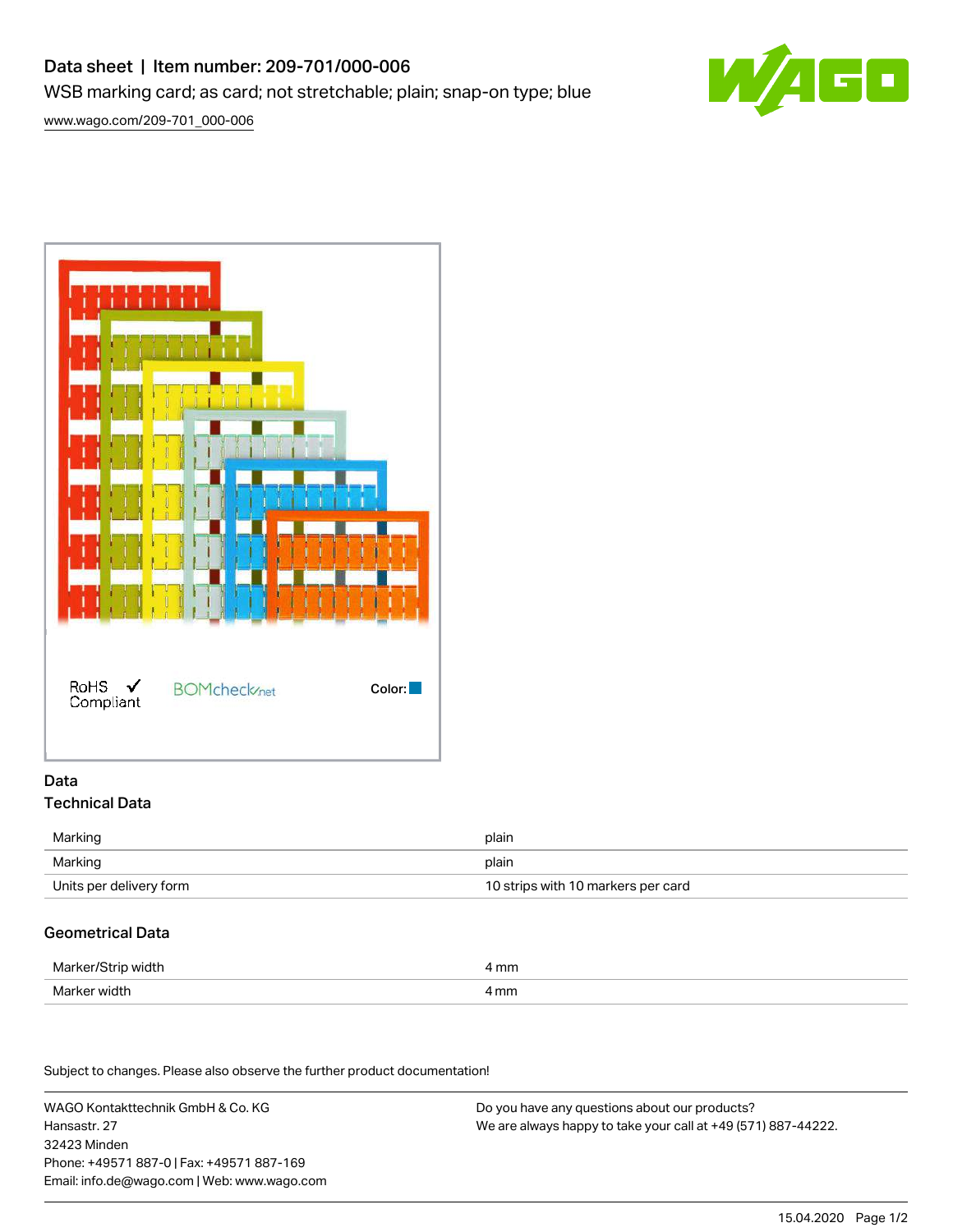# Data sheet | Item number: 209-701/000-006

WSB marking card; as card; not stretchable; plain; snap-on type; blue

[www.wago.com/209-701\\_000-006](http://www.wago.com/209-701_000-006)





## Data Technical Data

| Marking                 | plain                              |
|-------------------------|------------------------------------|
| Marking                 | plain                              |
| Units per delivery form | 10 strips with 10 markers per card |

# Geometrical Data

| Marker/Strip width | mm   |
|--------------------|------|
| Marker width       | 4 mm |

Subject to changes. Please also observe the further product documentation!

WAGO Kontakttechnik GmbH & Co. KG Hansastr. 27 32423 Minden Phone: +49571 887-0 | Fax: +49571 887-169 Email: info.de@wago.com | Web: www.wago.com

Do you have any questions about our products? We are always happy to take your call at +49 (571) 887-44222.